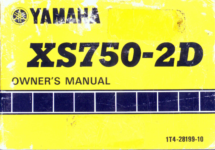

# XS750-2D

## **OWNER'S MANUAL**



#### 1T4-28199-10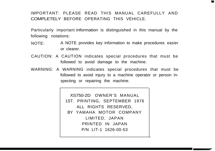#### IMPORTANT: PLEASE READ THIS MANUAL CAREFULLY AND COMPLETELY BEFORE OPERATING THIS VEHICLE.

м

Particularly important information is distinguished in this manual by the following notations:

- NOTE: A NOTE provides key information to make procedures easier or clearer.
- CAUTION: A CAUTION indicates special procedures that must be followed to avoid damage to the machine.
- WARNING: A WARNING indicates special procedures that must be followed to avoid injury to a machine operator or person inspecting or repairing the machine.

XS750-2D OWNER'S MANUAL 1ST. PRINTING, SEPTEMBER 1976 ALL RIGHTS RESERVED, BY YAMAHA MOTOR COMPANY LIMITED, JAPAN PRINTED IN JAPAN P/N LIT-1 1626-00-53